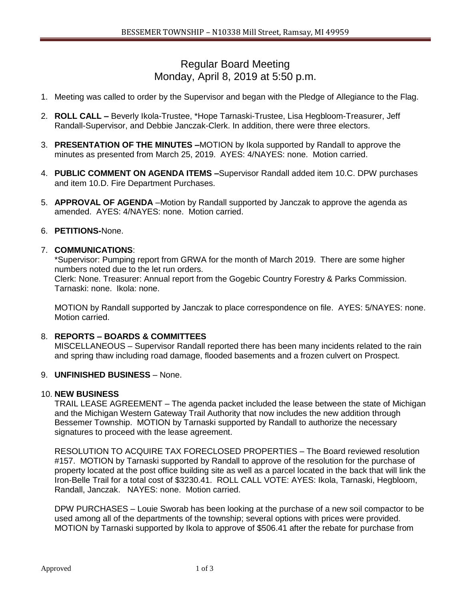# Regular Board Meeting Monday, April 8, 2019 at 5:50 p.m.

- 1. Meeting was called to order by the Supervisor and began with the Pledge of Allegiance to the Flag.
- 2. **ROLL CALL –** Beverly Ikola-Trustee, \*Hope Tarnaski-Trustee, Lisa Hegbloom-Treasurer, Jeff Randall-Supervisor, and Debbie Janczak-Clerk. In addition, there were three electors.
- 3. **PRESENTATION OF THE MINUTES –**MOTION by Ikola supported by Randall to approve the minutes as presented from March 25, 2019. AYES: 4/NAYES: none. Motion carried.
- 4. **PUBLIC COMMENT ON AGENDA ITEMS –**Supervisor Randall added item 10.C. DPW purchases and item 10.D. Fire Department Purchases.
- 5. **APPROVAL OF AGENDA** –Motion by Randall supported by Janczak to approve the agenda as amended. AYES: 4/NAYES: none. Motion carried.

# 6. **PETITIONS-**None.

#### 7. **COMMUNICATIONS**:

\*Supervisor: Pumping report from GRWA for the month of March 2019. There are some higher numbers noted due to the let run orders.

Clerk: None. Treasurer: Annual report from the Gogebic Country Forestry & Parks Commission. Tarnaski: none. Ikola: none.

MOTION by Randall supported by Janczak to place correspondence on file. AYES: 5/NAYES: none. Motion carried.

# 8. **REPORTS – BOARDS & COMMITTEES**

MISCELLANEOUS – Supervisor Randall reported there has been many incidents related to the rain and spring thaw including road damage, flooded basements and a frozen culvert on Prospect.

### 9. **UNFINISHED BUSINESS** – None.

#### 10. **NEW BUSINESS**

TRAIL LEASE AGREEMENT – The agenda packet included the lease between the state of Michigan and the Michigan Western Gateway Trail Authority that now includes the new addition through Bessemer Township. MOTION by Tarnaski supported by Randall to authorize the necessary signatures to proceed with the lease agreement.

RESOLUTION TO ACQUIRE TAX FORECLOSED PROPERTIES – The Board reviewed resolution #157. MOTION by Tarnaski supported by Randall to approve of the resolution for the purchase of property located at the post office building site as well as a parcel located in the back that will link the Iron-Belle Trail for a total cost of \$3230.41. ROLL CALL VOTE: AYES: Ikola, Tarnaski, Hegbloom, Randall, Janczak. NAYES: none. Motion carried.

DPW PURCHASES – Louie Sworab has been looking at the purchase of a new soil compactor to be used among all of the departments of the township; several options with prices were provided. MOTION by Tarnaski supported by Ikola to approve of \$506.41 after the rebate for purchase from